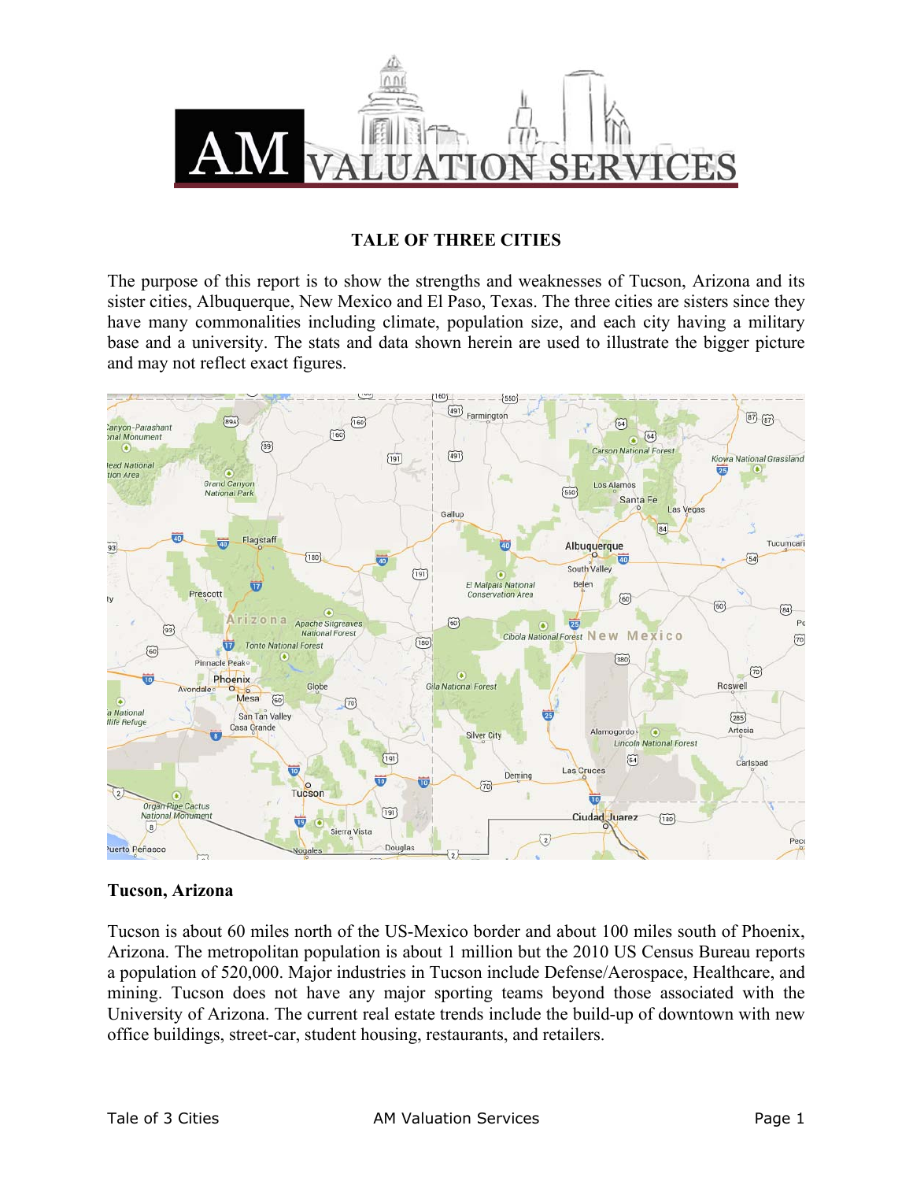

#### **TALE OF THREE CITIES**

The purpose of this report is to show the strengths and weaknesses of Tucson, Arizona and its sister cities, Albuquerque, New Mexico and El Paso, Texas. The three cities are sisters since they have many commonalities including climate, population size, and each city having a military base and a university. The stats and data shown herein are used to illustrate the bigger picture and may not reflect exact figures.



## **Tucson, Arizona**

Tucson is about 60 miles north of the US-Mexico border and about 100 miles south of Phoenix, Arizona. The metropolitan population is about 1 million but the 2010 US Census Bureau reports a population of 520,000. Major industries in Tucson include Defense/Aerospace, Healthcare, and mining. Tucson does not have any major sporting teams beyond those associated with the University of Arizona. The current real estate trends include the build-up of downtown with new office buildings, street-car, student housing, restaurants, and retailers.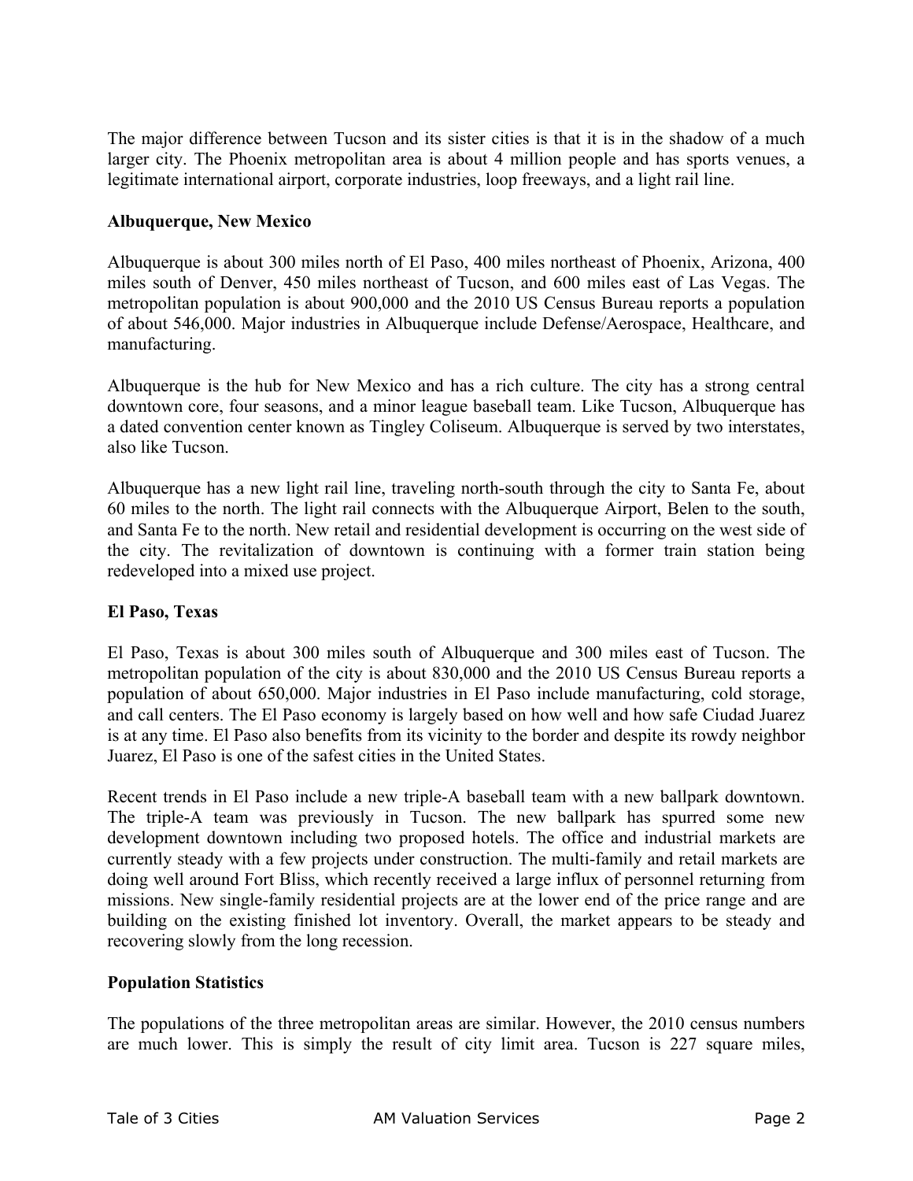The major difference between Tucson and its sister cities is that it is in the shadow of a much larger city. The Phoenix metropolitan area is about 4 million people and has sports venues, a legitimate international airport, corporate industries, loop freeways, and a light rail line.

# **Albuquerque, New Mexico**

Albuquerque is about 300 miles north of El Paso, 400 miles northeast of Phoenix, Arizona, 400 miles south of Denver, 450 miles northeast of Tucson, and 600 miles east of Las Vegas. The metropolitan population is about 900,000 and the 2010 US Census Bureau reports a population of about 546,000. Major industries in Albuquerque include Defense/Aerospace, Healthcare, and manufacturing.

Albuquerque is the hub for New Mexico and has a rich culture. The city has a strong central downtown core, four seasons, and a minor league baseball team. Like Tucson, Albuquerque has a dated convention center known as Tingley Coliseum. Albuquerque is served by two interstates, also like Tucson.

Albuquerque has a new light rail line, traveling north-south through the city to Santa Fe, about 60 miles to the north. The light rail connects with the Albuquerque Airport, Belen to the south, and Santa Fe to the north. New retail and residential development is occurring on the west side of the city. The revitalization of downtown is continuing with a former train station being redeveloped into a mixed use project.

## **El Paso, Texas**

El Paso, Texas is about 300 miles south of Albuquerque and 300 miles east of Tucson. The metropolitan population of the city is about 830,000 and the 2010 US Census Bureau reports a population of about 650,000. Major industries in El Paso include manufacturing, cold storage, and call centers. The El Paso economy is largely based on how well and how safe Ciudad Juarez is at any time. El Paso also benefits from its vicinity to the border and despite its rowdy neighbor Juarez, El Paso is one of the safest cities in the United States.

Recent trends in El Paso include a new triple-A baseball team with a new ballpark downtown. The triple-A team was previously in Tucson. The new ballpark has spurred some new development downtown including two proposed hotels. The office and industrial markets are currently steady with a few projects under construction. The multi-family and retail markets are doing well around Fort Bliss, which recently received a large influx of personnel returning from missions. New single-family residential projects are at the lower end of the price range and are building on the existing finished lot inventory. Overall, the market appears to be steady and recovering slowly from the long recession.

## **Population Statistics**

The populations of the three metropolitan areas are similar. However, the 2010 census numbers are much lower. This is simply the result of city limit area. Tucson is 227 square miles,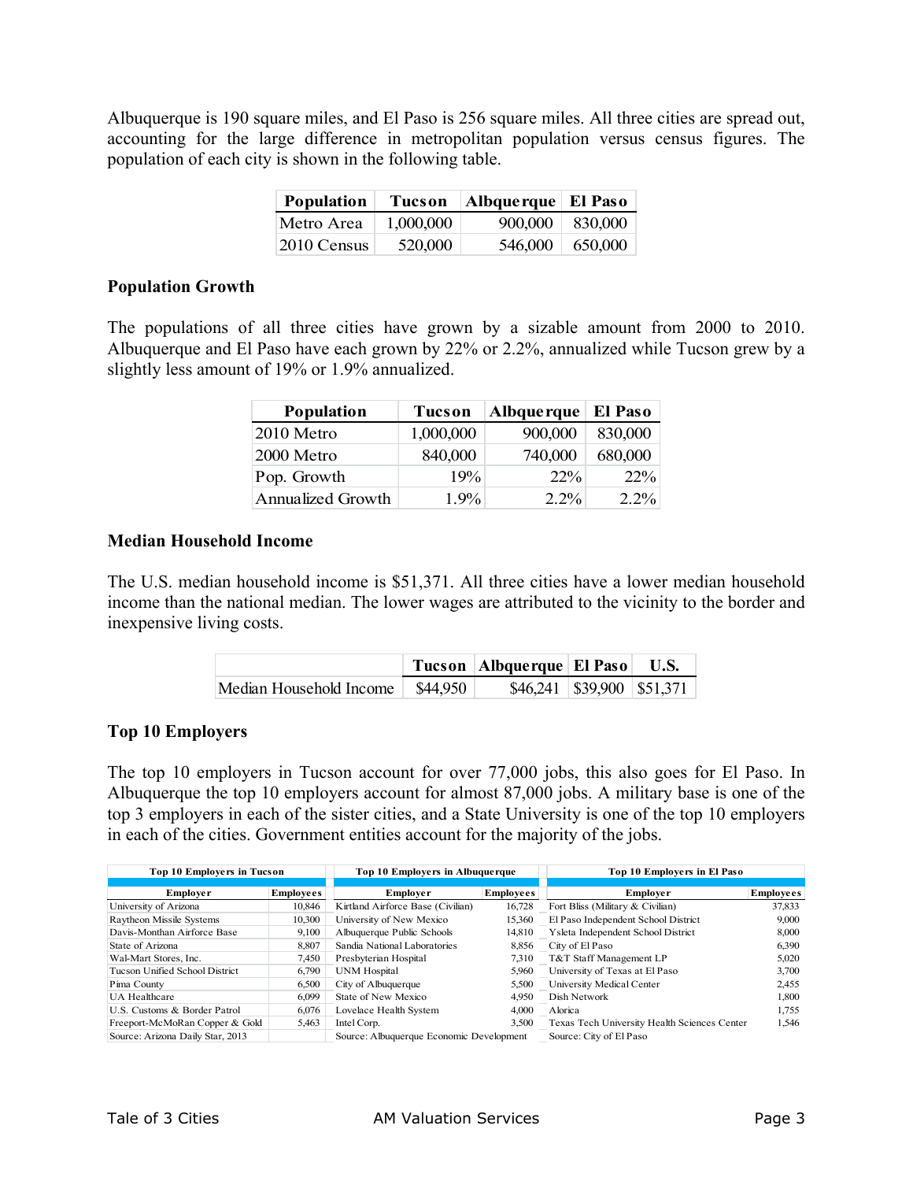Albuquerque is 190 square miles, and El Paso is 256 square miles. All three cities are spread out, accounting for the large difference in metropolitan population versus census figures. The population of each city is shown in the following table.

| <b>Population</b> | Tucson    | Albquerque   El Paso |         |
|-------------------|-----------|----------------------|---------|
| Metro Area        | 1,000,000 | 900,000              | 830.000 |
| 2010 Census       | 520,000   | 546,000              | 650,000 |

#### **Population Growth**

The populations of all three cities have grown by a sizable amount from 2000 to 2010. Albuquerque and El Paso have each grown by 22% or 2.2%, annualized while Tucson grew by a slightly less amount of 19% or 1.9% annualized.

| <b>Population</b>        | <b>Tucson</b> | Albque rque | El Paso |
|--------------------------|---------------|-------------|---------|
| 2010 Metro               | 1,000,000     | 900,000     | 830,000 |
| 2000 Metro               | 840,000       | 740,000     | 680,000 |
| Pop. Growth              | 19%           | $22\%$      | 22%     |
| <b>Annualized Growth</b> | $1.9\%$       | $2.2\%$     | 2.2%    |

## **Median Household Income**

The U.S. median household income is \$51,371. All three cities have a lower median household income than the national median. The lower wages are attributed to the vicinity to the border and inexpensive living costs.

|                                    | Tucson   Albquerque   El Paso   U.S. |                               |
|------------------------------------|--------------------------------------|-------------------------------|
| Median Household Income \ \$44,950 |                                      | $$46,241$ $$39,900$ $$51,371$ |

#### **Top 10 Employers**

The top 10 employers in Tucson account for over 77,000 jobs, this also goes for El Paso. In Albuquerque the top 10 employers account for almost 87,000 jobs. A military base is one of the top 3 employers in each of the sister cities, and a State University is one of the top 10 employers in each of the cities. Government entities account for the majority of the jobs.

| <b>Top 10 Employers in Tucson</b> |                  | Top 10 Employers in Albuquerque          |                  | Top 10 Employers in El Paso                  |                  |
|-----------------------------------|------------------|------------------------------------------|------------------|----------------------------------------------|------------------|
|                                   |                  |                                          |                  |                                              |                  |
| Employer                          | <b>Employees</b> | Employer                                 | <b>Employees</b> | <b>Employer</b>                              | <b>Employees</b> |
| University of Arizona             | 10.846           | Kirtland Airforce Base (Civilian)        | 16.728           | Fort Bliss (Military & Civilian)             | 37,833           |
| Raytheon Missile Systems          | 10,300           | University of New Mexico                 | 15,360           | El Paso Independent School District          | 9,000            |
| Davis-Monthan Airforce Base       | 9,100            | Albuquerque Public Schools               | 14,810           | Ysleta Independent School District           | 8,000            |
| State of Arizona                  | 8,807            | Sandia National Laboratories             | 8.856            | City of El Paso                              | 6,390            |
| Wal-Mart Stores, Inc.             | 7.450            | Presbyterian Hospital                    |                  | 7.310 T&T Staff Management LP                | 5,020            |
| Tucson Unified School District    | 6.790            | <b>UNM</b> Hospital                      | 5.960            | University of Texas at El Paso               | 3,700            |
| Pima County                       | 6,500            | City of Albuquerque                      | 5,500            | University Medical Center                    | 2,455            |
| <b>UA</b> Healthcare              | 6.099            | State of New Mexico                      | 4.950            | Dish Network                                 | 1,800            |
| U.S. Customs & Border Patrol      | 6,076            | Lovelace Health System                   | 4.000            | Alorica                                      | 1,755            |
| Freeport-McMoRan Copper & Gold    | 5,463            | Intel Corp.                              | 3,500            | Texas Tech University Health Sciences Center | 1,546            |
| Source: Arizona Daily Star, 2013  |                  | Source: Albuquerque Economic Development |                  | Source: City of El Paso                      |                  |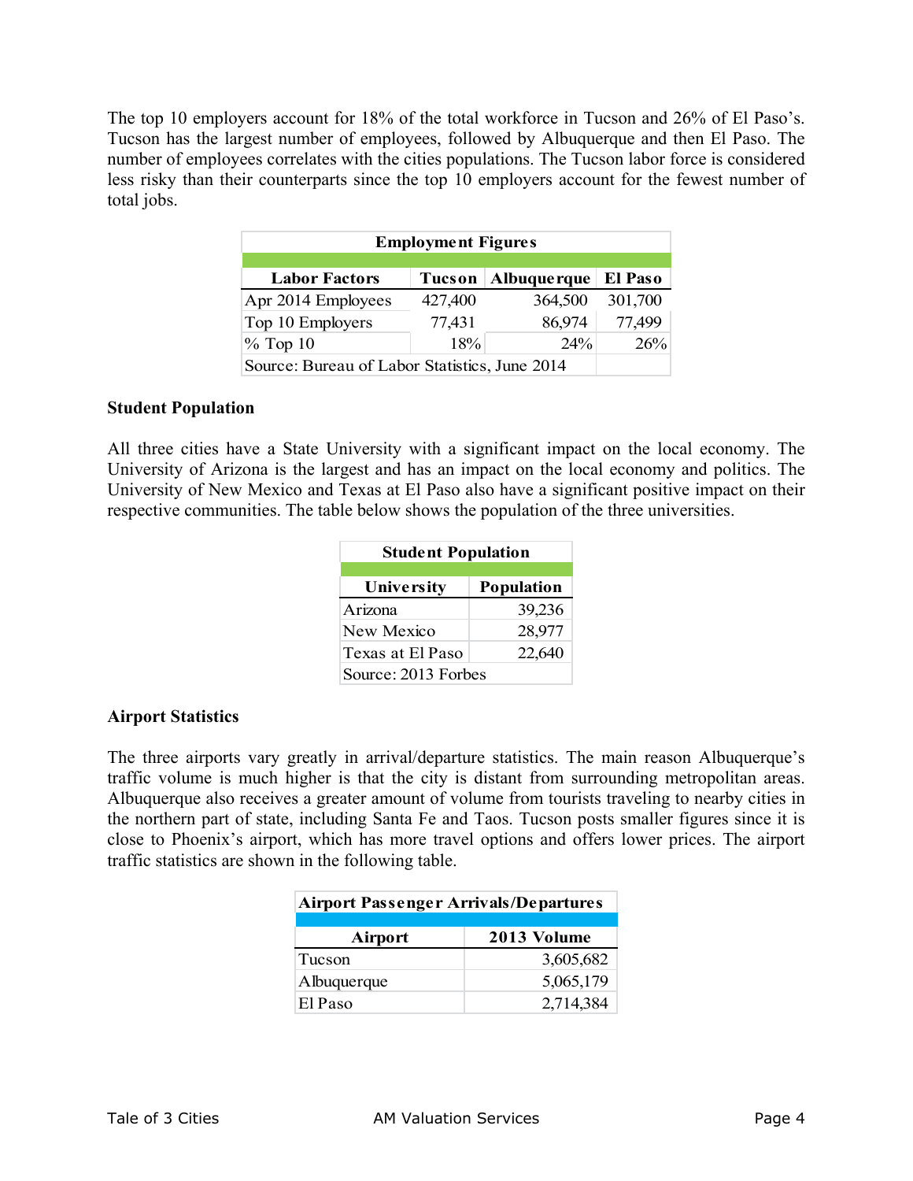The top 10 employers account for 18% of the total workforce in Tucson and 26% of El Paso's. Tucson has the largest number of employees, followed by Albuquerque and then El Paso. The number of employees correlates with the cities populations. The Tucson labor force is considered less risky than their counterparts since the top 10 employers account for the fewest number of total jobs.

| <b>Employment Figures</b>                                        |         |         |         |  |  |  |
|------------------------------------------------------------------|---------|---------|---------|--|--|--|
| El Paso<br><b>Labor Factors</b><br><b>Albuque rque</b><br>Tucson |         |         |         |  |  |  |
| Apr 2014 Employees                                               | 427,400 | 364,500 | 301,700 |  |  |  |
| Top 10 Employers                                                 | 77,431  | 86,974  | 77,499  |  |  |  |
| 18%<br>$%$ Top 10<br>$24\%$<br>26%                               |         |         |         |  |  |  |
| Source: Bureau of Labor Statistics, June 2014                    |         |         |         |  |  |  |

#### **Student Population**

All three cities have a State University with a significant impact on the local economy. The University of Arizona is the largest and has an impact on the local economy and politics. The University of New Mexico and Texas at El Paso also have a significant positive impact on their respective communities. The table below shows the population of the three universities.

| <b>Student Population</b>       |  |  |  |
|---------------------------------|--|--|--|
| University<br><b>Population</b> |  |  |  |
| Arizona<br>39,236               |  |  |  |
| 28,977<br>New Mexico            |  |  |  |
| Texas at El Paso<br>22,640      |  |  |  |
| Source: 2013 Forbes             |  |  |  |

## **Airport Statistics**

The three airports vary greatly in arrival/departure statistics. The main reason Albuquerque's traffic volume is much higher is that the city is distant from surrounding metropolitan areas. Albuquerque also receives a greater amount of volume from tourists traveling to nearby cities in the northern part of state, including Santa Fe and Taos. Tucson posts smaller figures since it is close to Phoenix's airport, which has more travel options and offers lower prices. The airport traffic statistics are shown in the following table.

| <b>Airport Passenger Arrivals/Departures</b> |             |  |  |
|----------------------------------------------|-------------|--|--|
| Airport                                      | 2013 Volume |  |  |
| Tucson                                       | 3,605,682   |  |  |
| Albuquerque                                  | 5,065,179   |  |  |
| El Paso                                      | 2,714,384   |  |  |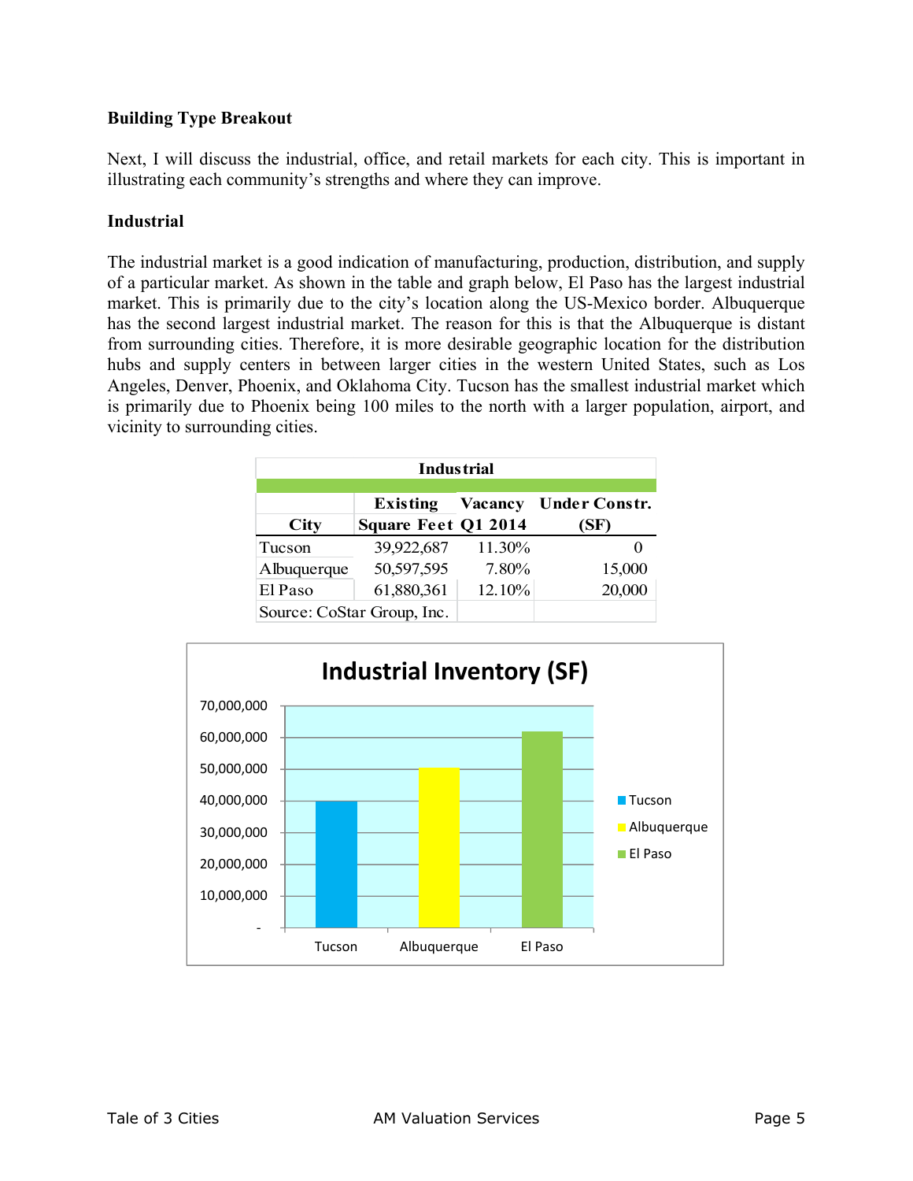# **Building Type Breakout**

Next, I will discuss the industrial, office, and retail markets for each city. This is important in illustrating each community's strengths and where they can improve.

# **Industrial**

The industrial market is a good indication of manufacturing, production, distribution, and supply of a particular market. As shown in the table and graph below, El Paso has the largest industrial market. This is primarily due to the city's location along the US-Mexico border. Albuquerque has the second largest industrial market. The reason for this is that the Albuquerque is distant from surrounding cities. Therefore, it is more desirable geographic location for the distribution hubs and supply centers in between larger cities in the western United States, such as Los Angeles, Denver, Phoenix, and Oklahoma City. Tucson has the smallest industrial market which is primarily due to Phoenix being 100 miles to the north with a larger population, airport, and vicinity to surrounding cities.

| <b>Industrial</b>                                                                                       |            |        |        |  |  |
|---------------------------------------------------------------------------------------------------------|------------|--------|--------|--|--|
| <b>Vacancy</b><br><b>Under Constr.</b><br>Existing<br><b>Square Feet Q1 2014</b><br><b>City</b><br>(SF) |            |        |        |  |  |
| Tucson                                                                                                  | 39,922,687 | 11.30% |        |  |  |
| Albuquerque                                                                                             | 50,597,595 | 7.80%  | 15,000 |  |  |
| El Paso                                                                                                 | 61,880,361 | 12.10% | 20,000 |  |  |
| Source: CoStar Group, Inc.                                                                              |            |        |        |  |  |

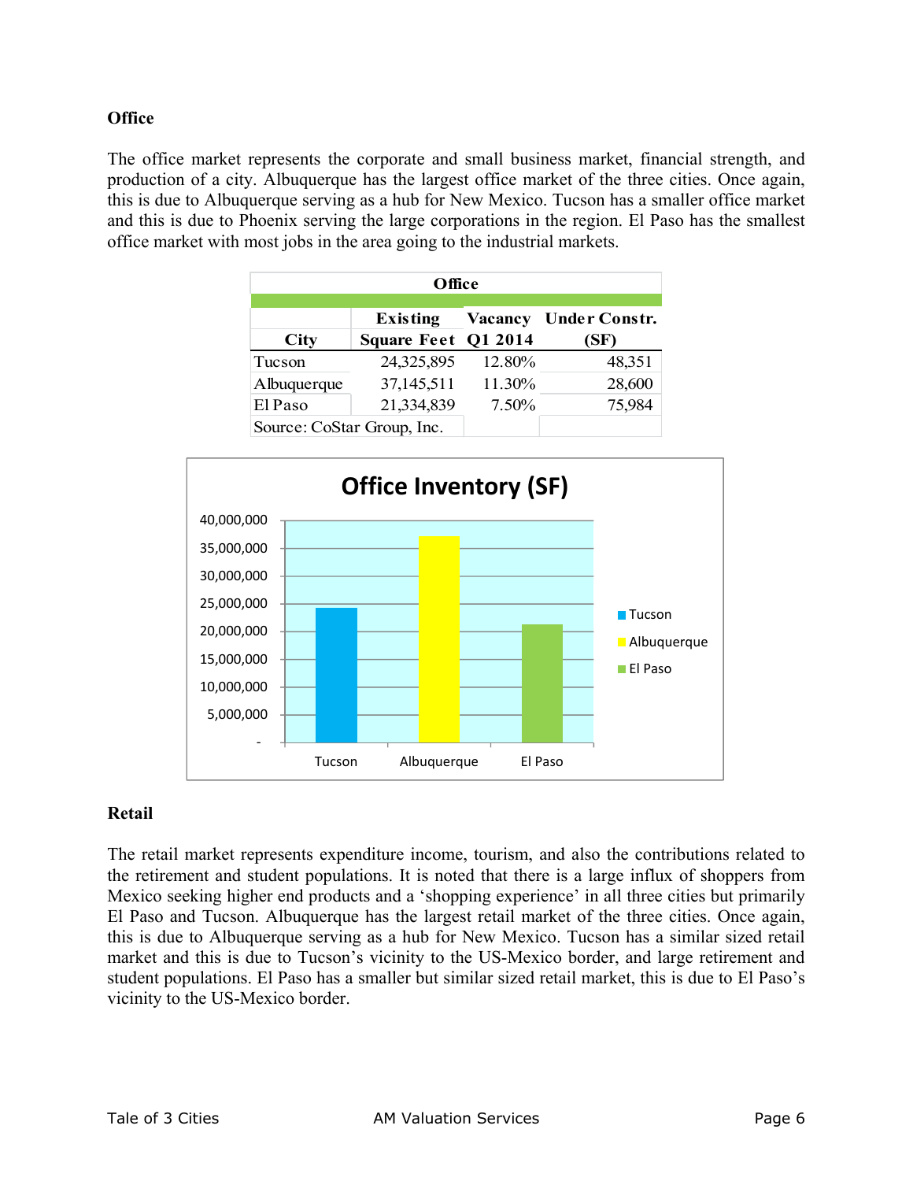# **Office**

The office market represents the corporate and small business market, financial strength, and production of a city. Albuquerque has the largest office market of the three cities. Once again, this is due to Albuquerque serving as a hub for New Mexico. Tucson has a smaller office market and this is due to Phoenix serving the large corporations in the region. El Paso has the smallest office market with most jobs in the area going to the industrial markets.

| Office                     |                                        |         |                              |  |
|----------------------------|----------------------------------------|---------|------------------------------|--|
| <b>City</b>                | <b>Existing</b><br>Square Feet Q1 2014 | Vacancy | <b>Under Constr.</b><br>(SF) |  |
| Tucson                     | 24,325,895                             | 12.80%  | 48,351                       |  |
| Albuquerque                | 37,145,511                             | 11.30%  | 28,600                       |  |
| El Paso                    | 21,334,839                             | 7.50%   | 75,984                       |  |
| Source: CoStar Group, Inc. |                                        |         |                              |  |



## **Retail**

The retail market represents expenditure income, tourism, and also the contributions related to the retirement and student populations. It is noted that there is a large influx of shoppers from Mexico seeking higher end products and a 'shopping experience' in all three cities but primarily El Paso and Tucson. Albuquerque has the largest retail market of the three cities. Once again, this is due to Albuquerque serving as a hub for New Mexico. Tucson has a similar sized retail market and this is due to Tucson's vicinity to the US-Mexico border, and large retirement and student populations. El Paso has a smaller but similar sized retail market, this is due to El Paso's vicinity to the US-Mexico border.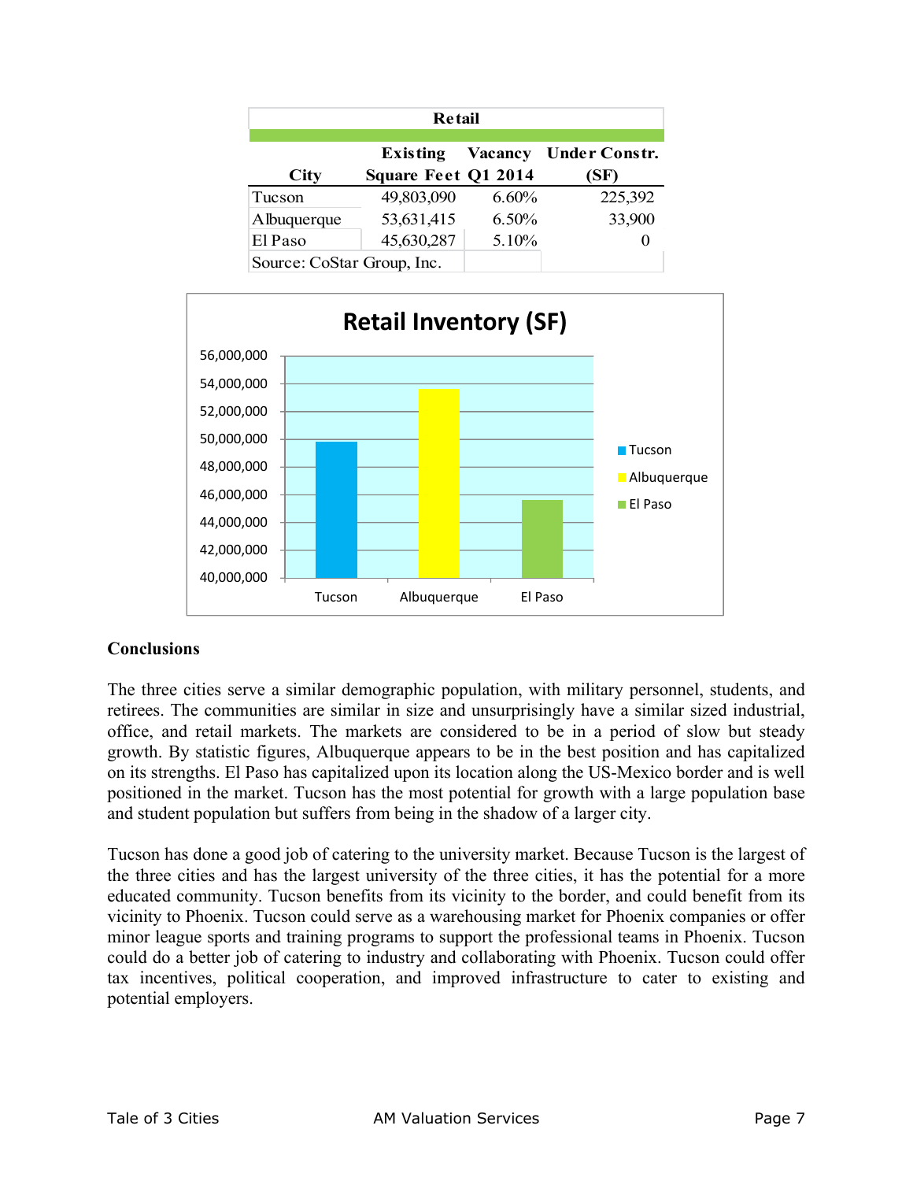| <b>Retail</b>              |                                               |                |                              |  |
|----------------------------|-----------------------------------------------|----------------|------------------------------|--|
| <b>City</b>                | <b>Existing</b><br><b>Square Feet Q1 2014</b> | <b>Vacancy</b> | <b>Under Constr.</b><br>(SF) |  |
| Tucson                     | 49,803,090                                    | $6.60\%$       | 225,392                      |  |
| Albuquerque                | 53,631,415                                    | 6.50%          | 33,900                       |  |
| El Paso                    | 45,630,287                                    | 5.10%          | $\Omega$                     |  |
| Source: CoStar Group, Inc. |                                               |                |                              |  |



# **Conclusions**

The three cities serve a similar demographic population, with military personnel, students, and retirees. The communities are similar in size and unsurprisingly have a similar sized industrial, office, and retail markets. The markets are considered to be in a period of slow but steady growth. By statistic figures, Albuquerque appears to be in the best position and has capitalized on its strengths. El Paso has capitalized upon its location along the US-Mexico border and is well positioned in the market. Tucson has the most potential for growth with a large population base and student population but suffers from being in the shadow of a larger city.

Tucson has done a good job of catering to the university market. Because Tucson is the largest of the three cities and has the largest university of the three cities, it has the potential for a more educated community. Tucson benefits from its vicinity to the border, and could benefit from its vicinity to Phoenix. Tucson could serve as a warehousing market for Phoenix companies or offer minor league sports and training programs to support the professional teams in Phoenix. Tucson could do a better job of catering to industry and collaborating with Phoenix. Tucson could offer tax incentives, political cooperation, and improved infrastructure to cater to existing and potential employers.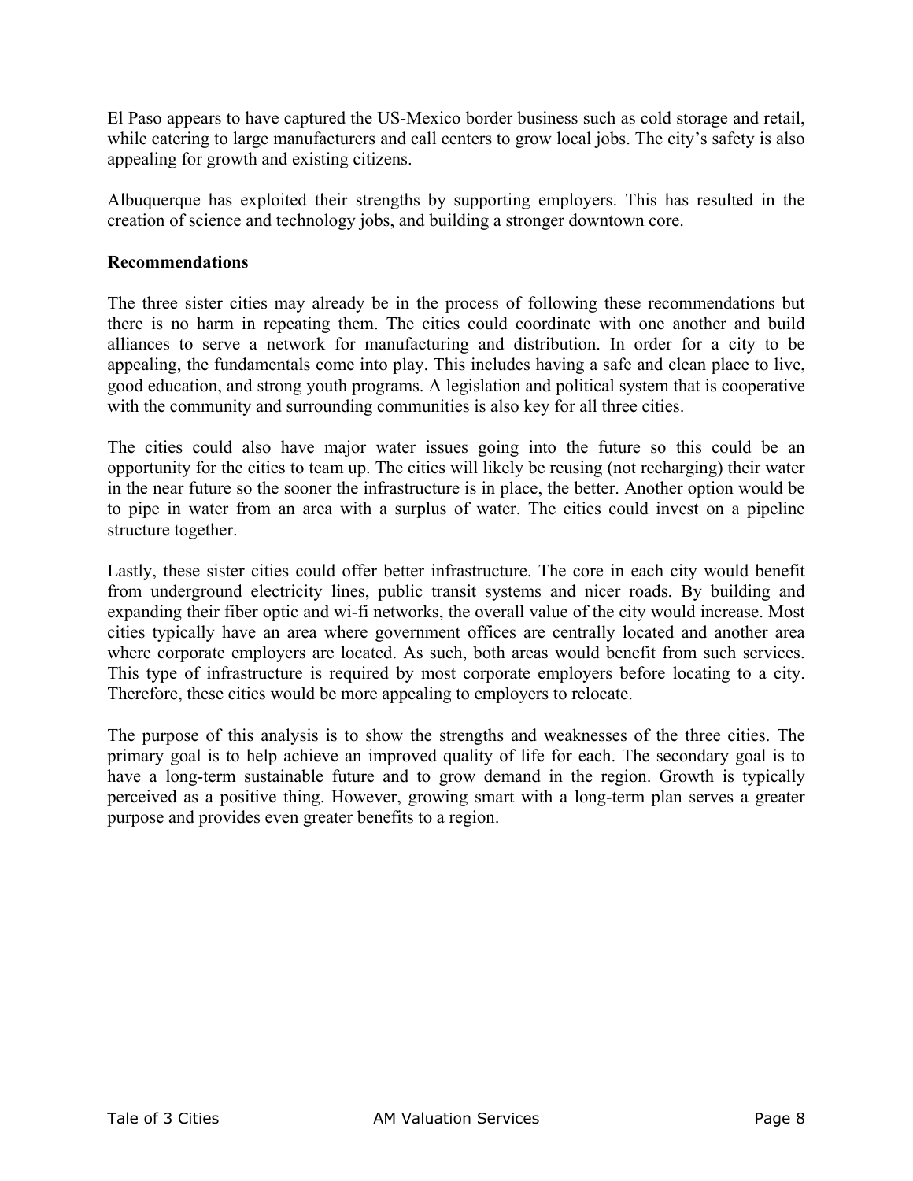El Paso appears to have captured the US-Mexico border business such as cold storage and retail, while catering to large manufacturers and call centers to grow local jobs. The city's safety is also appealing for growth and existing citizens.

Albuquerque has exploited their strengths by supporting employers. This has resulted in the creation of science and technology jobs, and building a stronger downtown core.

## **Recommendations**

The three sister cities may already be in the process of following these recommendations but there is no harm in repeating them. The cities could coordinate with one another and build alliances to serve a network for manufacturing and distribution. In order for a city to be appealing, the fundamentals come into play. This includes having a safe and clean place to live, good education, and strong youth programs. A legislation and political system that is cooperative with the community and surrounding communities is also key for all three cities.

The cities could also have major water issues going into the future so this could be an opportunity for the cities to team up. The cities will likely be reusing (not recharging) their water in the near future so the sooner the infrastructure is in place, the better. Another option would be to pipe in water from an area with a surplus of water. The cities could invest on a pipeline structure together.

Lastly, these sister cities could offer better infrastructure. The core in each city would benefit from underground electricity lines, public transit systems and nicer roads. By building and expanding their fiber optic and wi-fi networks, the overall value of the city would increase. Most cities typically have an area where government offices are centrally located and another area where corporate employers are located. As such, both areas would benefit from such services. This type of infrastructure is required by most corporate employers before locating to a city. Therefore, these cities would be more appealing to employers to relocate.

The purpose of this analysis is to show the strengths and weaknesses of the three cities. The primary goal is to help achieve an improved quality of life for each. The secondary goal is to have a long-term sustainable future and to grow demand in the region. Growth is typically perceived as a positive thing. However, growing smart with a long-term plan serves a greater purpose and provides even greater benefits to a region.